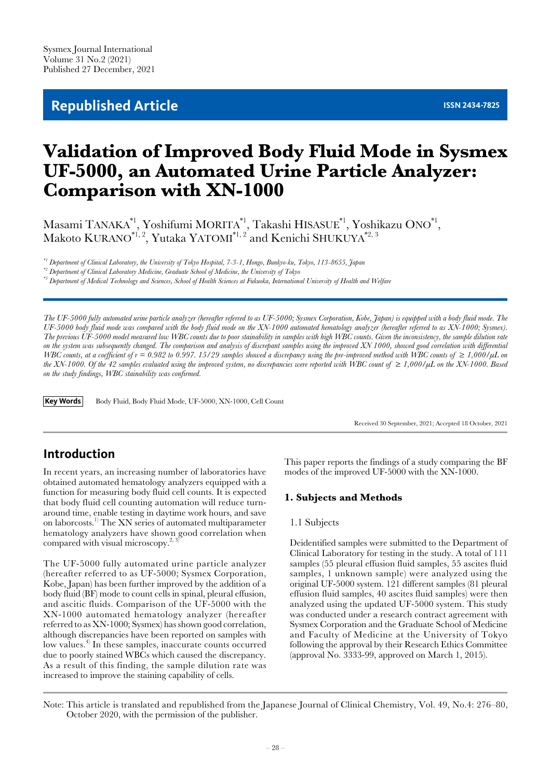## **Republished Article ISSN 2434-7825**

# **Validation of Improved Body Fluid Mode in Sysmex UF-5000, an Automated Urine Particle Analyzer: Comparison with XN-1000**

Masami TANAKA $^{\ast_1},$  Yoshifumi MORITA $^{\ast_1},$  Takashi HISASUE $^{\ast_1},$  Yoshikazu ONO $^{\ast_1},$ Makoto KURANO $^{\ast_{1,\,2}},$  Yutaka YATOMI $^{\ast_{1,\,2}}$  and Kenichi SHUKUYA $^{\ast_{2,\,3}}$ 

*\*1 Department of Clinical Laboratory, the University of Tokyo Hospital, 7-3-1, Hongo, Bunkyo-ku, Tokyo, 113-8655, Japan*

*\*3 Department of Medical Technology and Sciences, School of Health Sciences at Fukuoka, International University of Health and Welfare*

*The UF-5000 fully automated urine particle analyzer (hereafter referred to as UF-5000; Sysmex Corporation, Kobe, Japan) is equipped with a body fluid mode. The UF-5000 body fluid mode was compared with the body fluid mode on the XN-1000 automated hematology analyzer (hereafter referred to as XN-1000; Sysmex). The previous UF-5000 model measured low WBC counts due to poor stainability in samples with high WBC counts. Given the inconsistency, the sample dilution rate on the system was subsequently changed. The comparison and analysis of discrepant samples using the improved XN 1000, showed good correlation with differential*  WBC counts, at a coefficient of  $r = 0.982$  to 0.997. 15/29 samples showed a discrepancy using the pre-improved method with WBC counts of  $\geq 1,000/\mu L$  on *the XN-1000. Of the 42 samples evaluated using the improved system, no discrepancies were reported with WBC count of ≥ 1,000/µL on the XN-1000. Based on the study findings, WBC stainability was confirmed.*

**Key Words** Body Fluid, Body Fluid Mode, UF-5000, XN-1000, Cell Count

Received 30 September, 2021; Accepted 18 October, 2021

## **Introduction**

In recent years, an increasing number of laboratories have obtained automated hematology analyzers equipped with a function for measuring body fluid cell counts. It is expected that body fluid cell counting automation will reduce turnaround time, enable testing in daytime work hours, and save on laborcosts.1) The XN series of automated multiparameter hematology analyzers have shown good correlation when compared with visual microscopy.<sup>2, 3</sup>

The UF-5000 fully automated urine particle analyzer (hereafter referred to as UF-5000; Sysmex Corporation, Kobe, Japan) has been further improved by the addition of a body fluid (BF) mode to count cells in spinal, pleural effusion, and ascitic fluids. Comparison of the UF-5000 with the XN-1000 automated hematology analyzer (hereafter referred to as XN-1000; Sysmex) has shown good correlation, although discrepancies have been reported on samples with low values.<sup>4)</sup> In these samples, inaccurate counts occurred due to poorly stained WBCs which caused the discrepancy. As a result of this finding, the sample dilution rate was increased to improve the staining capability of cells.

This paper reports the findings of a study comparing the BF modes of the improved UF-5000 with the XN-1000.

#### **1. Subjects and Methods**

#### 1.1 Subjects

Deidentified samples were submitted to the Department of Clinical Laboratory for testing in the study. A total of 111 samples (55 pleural effusion fluid samples, 55 ascites fluid samples, 1 unknown sample) were analyzed using the original UF-5000 system. 121 different samples (81 pleural effusion fluid samples, 40 ascites fluid samples) were then analyzed using the updated UF-5000 system. This study was conducted under a research contract agreement with Sysmex Corporation and the Graduate School of Medicine and Faculty of Medicine at the University of Tokyo following the approval by their Research Ethics Committee (approval No. 3333-99, approved on March 1, 2015).

Note: This article is translated and republished from the Japanese Journal of Clinical Chemistry, Vol. 49, No.4: 276–80, October 2020, with the permission of the publisher.

*<sup>\*2</sup> Department of Clinical Laboratory Medicine, Graduate School of Medicine, the University of Tokyo*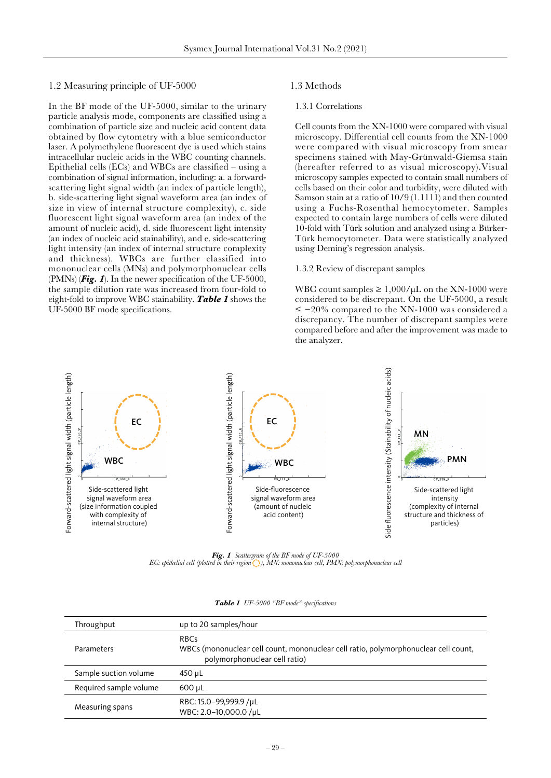#### 1.2 Measuring principle of UF-5000

In the BF mode of the UF-5000, similar to the urinary particle analysis mode, components are classified using a combination of particle size and nucleic acid content data obtained by flow cytometry with a blue semiconductor laser. A polymethylene fluorescent dye is used which stains intracellular nucleic acids in the WBC counting channels. Epithelial cells  $(ECs)$  and WBCs are classified – using a combination of signal information, including: a. a forwardscattering light signal width (an index of particle length), b. side-scattering light signal waveform area (an index of size in view of internal structure complexity), c. side fluorescent light signal waveform area (an index of the amount of nucleic acid), d. side fluorescent light intensity (an index of nucleic acid stainability), and e. side-scattering light intensity (an index of internal structure complexity and thickness). WBCs are further classified into mononuclear cells (MNs) and polymorphonuclear cells (PMNs) (*Fig. 1*). In the newer specification of the UF-5000, the sample dilution rate was increased from four-fold to eight-fold to improve WBC stainability. *Table 1* shows the UF-5000 BF mode specifications.

#### 1.3 Methods

#### 1.3.1 Correlations

Cell counts from the XN-1000 were compared with visual microscopy. Differential cell counts from the XN-1000 were compared with visual microscopy from smear specimens stained with May-Grünwald-Giemsa stain (hereafter referred to as visual microscopy).Visual microscopy samples expected to contain small numbers of cells based on their color and turbidity, were diluted with Samson stain at a ratio of  $10/9$  (1.1111) and then counted using a Fuchs-Rosenthal hemocytometer. Samples expected to contain large numbers of cells were diluted 10-fold with Türk solution and analyzed using a Bürker-Türk hemocytometer. Data were statistically analyzed using Deming's regression analysis.

#### 1.3.2 Review of discrepant samples

WBC count samples  $\geq 1,000/\mu L$  on the XN-1000 were considered to be discrepant. On the UF-5000, a result ≤ −20% compared to the XN-1000 was considered a discrepancy. The number of discrepant samples were compared before and after the improvement was made to the analyzer.



*Fig. 1 Scattergram of the BF mode of UF-5000 EC: epithelial cell (plotted in their region ), MN: mononuclear cell, PMN: polymorphonuclear cell*

| Throughput             | up to 20 samples/hour                                                                                                               |
|------------------------|-------------------------------------------------------------------------------------------------------------------------------------|
| Parameters             | <b>RBCs</b><br>WBCs (mononuclear cell count, mononuclear cell ratio, polymorphonuclear cell count,<br>polymorphonuclear cell ratio) |
| Sample suction volume  | 450 uL                                                                                                                              |
| Required sample volume | 600 uL                                                                                                                              |
| Measuring spans        | RBC: 15.0-99,999.9 /µL<br>WBC: 2.0-10,000.0 /µL                                                                                     |

*Table 1 UF-5000 "BF mode" specifications*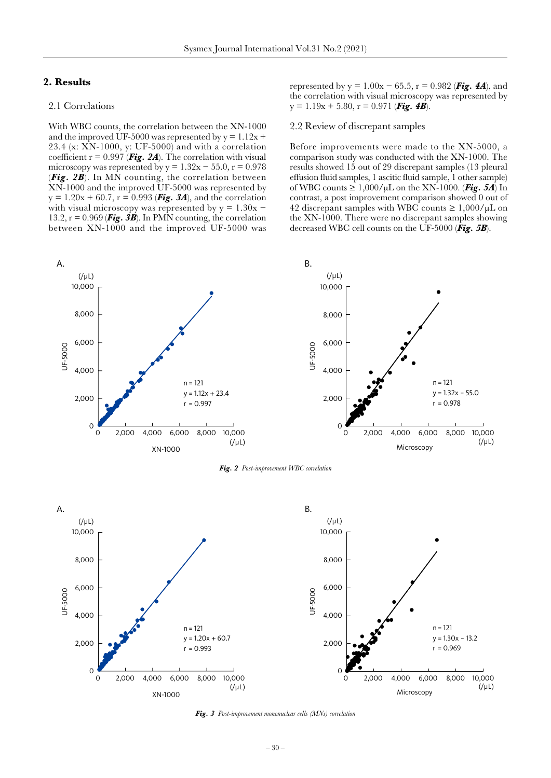#### **2. Results**

#### 2.1 Correlations

With WBC counts, the correlation between the XN-1000 and the improved UF-5000 was represented by  $y = 1.12x +$ 23.4 (x: XN-1000, y: UF-5000) and with a correlation coefficient  $r = 0.997$  (**Fig. 2A**). The correlation with visual microscopy was represented by  $y = 1.32x - 55.0$ ,  $r = 0.978$ (*Fig. 2B*). In MN counting, the correlation between XN-1000 and the improved UF-5000 was represented by  $y = 1.20x + 60.7$ ,  $r = 0.993$  (**Fig. 3A**), and the correlation with visual microscopy was represented by  $y = 1.30x -$ 13.2,  $r = 0.969$  (**Fig. 3B**). In PMN counting, the correlation between XN-1000 and the improved UF-5000 was

represented by y = 1.00x − 65.5, r = 0.982 (*[Fig. 4A](#page-3-0)*), and the correlation with visual microscopy was represented by  $y = 1.19x + 5.80$ ,  $r = 0.971$  (**[Fig. 4B](#page-3-0)**).

#### 2.2 Review of discrepant samples

Before improvements were made to the XN-5000, a comparison study was conducted with the XN-1000. The results showed 15 out of 29 discrepant samples (13 pleural effusion fluid samples, 1 ascitic fluid sample, 1 other sample) of WBC counts  $\geq 1,000/\mu L$  on the XN-1000. ([Fig. 5A](#page-3-0)) In contrast, a post improvement comparison showed 0 out of 42 discrepant samples with WBC counts  $\geq 1,000/\mu L$  on the XN-1000. There were no discrepant samples showing decreased WBC cell counts on the UF-5000 (*[Fig. 5B](#page-3-0)*).





*Fig. 2 Post-improvement WBC correlation*



*Fig. 3 Post-improvement mononuclear cells (MNs) correlation*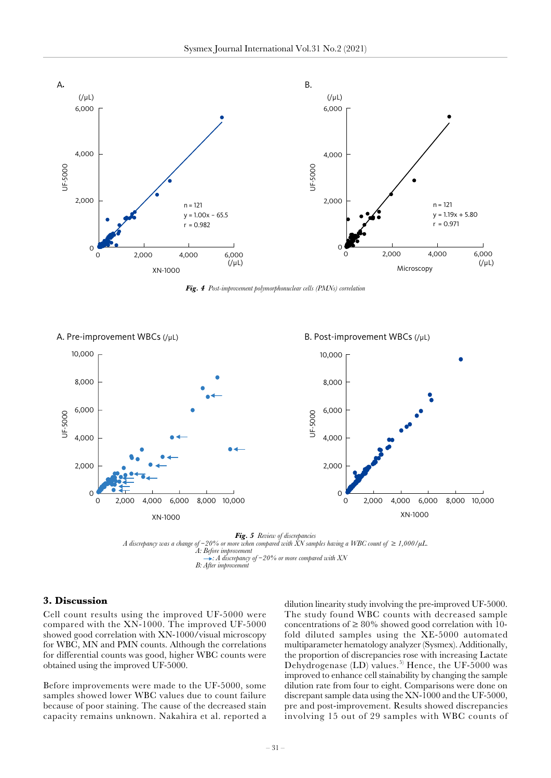<span id="page-3-0"></span>

*Fig. 4 Post-improvement polymorphonuclear cells (PMNs) correlation*



*Fig. 5 Review of discrepancies A discrepancy was a change of* −*20% or more when compared with XN samples having a WBC count of ≥ 1,000/µL. A: Before improvement : A discrepancy of* −*20% or more compared with XN B: After improvement*

#### **3. Discussion**

Cell count results using the improved UF-5000 were compared with the XN-1000. The improved UF-5000 showed good correlation with XN-1000/visual microscopy for WBC, MN and PMN counts. Although the correlations for differential counts was good, higher WBC counts were obtained using the improved UF-5000.

Before improvements were made to the UF-5000, some samples showed lower WBC values due to count failure because of poor staining. The cause of the decreased stain capacity remains unknown. Nakahira et al. reported a dilution linearity study involving the pre-improved UF-5000. The study found WBC counts with decreased sample concentrations of  $\geq 80\%$  showed good correlation with 10fold diluted samples using the XE-5000 automated multiparameter hematology analyzer (Sysmex). Additionally, the proportion of discrepancies rose with increasing Lactate Dehydrogenase  $(LD)$  values.<sup>5)</sup> Hence, the UF-5000 was improved to enhance cell stainability by changing the sample dilution rate from four to eight. Comparisons were done on discrepant sample data using the XN-1000 and the UF-5000, pre and post-improvement. Results showed discrepancies involving 15 out of 29 samples with WBC counts of